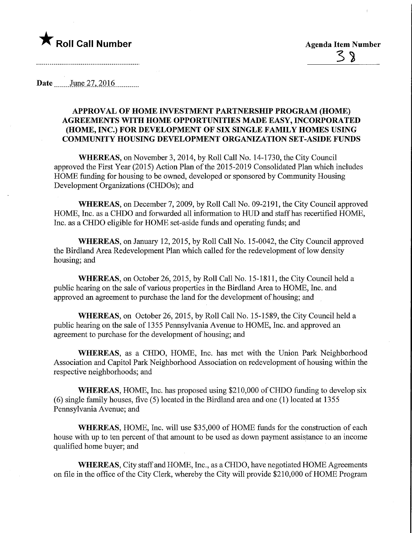

**Date** June 27, 2016

## APPROVAL OF HOME INVESTMENT PARTNERSHIP PROGRAM (HOME) AGREEMENTS WITH HOME OPPORTUNITIES MADE EASY, INCORPORATED (HOME, INC.) FOR DEVELOPMENT OF SIX SINGLE FAMILY HOMES USING COMMUNITY HOUSING DEVELOPMENT ORGANIZATION SET-ASIDE FUNDS

WHEREAS, on November 3, 2014, by Roll Call No. 14-1730, the City Council approved the First Year (2015) Action Plan of the 2015-2019 Consolidated Plan which includes HOME funding for housing to be owned, developed or sponsored by Community Housing Development Organizations (CHDOs); and

WHEREAS, on December 7, 2009, by Roll Call No. 09-2191, the City Council approved HOME, Inc. as a CHDO and forwarded all information to HUD and staff has recertified HOME, Inc. as a CHDO eligible for HOME set-aside funds and operating funds; and

WHEREAS, on January 12, 2015, by Roll Call No. 15-0042, the City Council approved the Birdland Area Redevelopment Plan which called for the redevelopment of low density housing; and

WHEREAS, on October 26, 2015, by Roll Call No. 15-1811, the City Council held a public hearing on the sale of various properties in the Birdland Area to HOME, Inc. and approved an agreement to purchase the land for the development of housing; and

WHEREAS, on October 26, 2015, by Roll Call No. 15-1589, the City Council held a public hearing on the sale of 1355 Pennsylvania Avenue to HOME, Inc. and approved an agreement to purchase for the development of housing; and

WHEREAS, as a CHDO, HOME, Inc. has met with the Union Park Neighborhood Association and Capitol Park Neighborhood Association on redevelopment of housing within the respective neighborhoods; and

WHEREAS, HOME, Inc. has proposed using \$210,000 of CHDO funding to develop six (6) single family houses, five (5) located in the Birdland area and one (1) located at 1355 Pennsylvania Avenue; and

WHEREAS, HOME, Inc. will use \$35,000 of HOME funds for the construction of each house with up to ten percent of that amount to be used as down payment assistance to an income qualified home buyer; and

WHEREAS, City staff and HOME, Inc., as a CHDO, have negotiated HOME Agreements on file in the office of the City Clerk, whereby the City will provide \$210,000 of HOME Program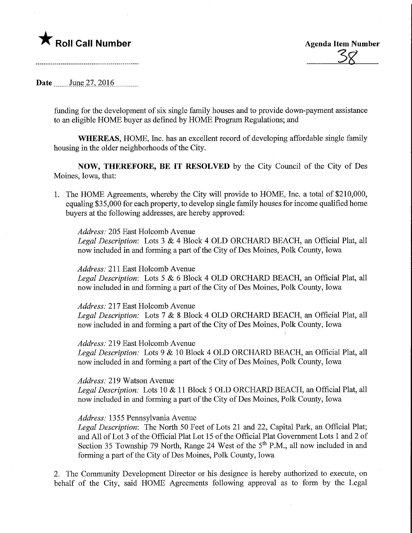## **The Roll Call Number Agents Container Agents Agents Agents Agents Agents Agents Agents Agents Agents Agents Agents Agents Agents Agents Agents Agents Agents Agents Agents Agents Agents Agents Agents Agents Agents Agents A**

 $\overline{\mathcal{S}}$ 8

**Date** June 27, 2016

funding for the development of six single family houses and to provide down-payment assistance to an eligible HOME buyer as defined by HOME Program Regulations; and

WHEREAS, HOME, Inc. has an excellent record of developing affordable single family housing in the older neighborhoods of the City.

NOW, THEREFORE, BE IT RESOLVED by the City Council of the City of Des Moines, Iowa, that:

1. The HOME Agreements, whereby the City will provide to HOME, Inc. a total of \$210,000, equaling \$3 5,000 for each property, to develop single family houses for income qualified home buyers at the following addresses, are hereby approved:

Address: 205 East Holcomb Avenue

Legal Description: Lots 3 & 4 Block 4 OLD ORCHARD BEACH, an Official Plat, all now included in and forming a part of the City of Des Moines, Polk County, Iowa

Address: 211 East Holcomb Avenue

Legal Description: Lots 5 & 6 Block 4 OLD ORCHARD BEACH, an Official Plat, all now included in and forming a part of the City of Des Moines, Polk County, Iowa

Address: 217 East Holcomb Avenue

Legal Description: Lots 7 & 8 Block 4 OLD ORCHARD BEACH, an Official Plat, all now included in and forming a part of the City of Des Moines, Polk County, Iowa

1

Address: 219 East Holcomb Avenue

Legal Description: Lots 9 & 10 Block 4 OLD ORCHARD BEACH, an Official Plat, all now included in and forming a part of the City of Des Moines, Polk County, Iowa

Address: 219 Watson Avenue

Legal Description: Lots 10 & 11 Block 5 OLD ORCHARD BEACH, an Official Plat, all now included in and forming a part of the City of Des Moines, Polk County, Iowa

## Address: 1355 Pennsylvania Avenue

Legal Description: The North 50 Feet of Lots 21 and 22, Capital Park, an Official Plat; and All of Lot 3 of the Official Plat Lot 15 of the Official Plat Government Lots 1 and 2 of Section 35 Township 79 North, Range 24 West of the  $5<sup>th</sup>$  P.M., all now included in and forming a part of the City of Des Moines, Polk County, Iowa

2. The Community Development Director or his designee is hereby authorized to execute, on behalf of the City, said HOME Agreements following approval as to form by the Legal